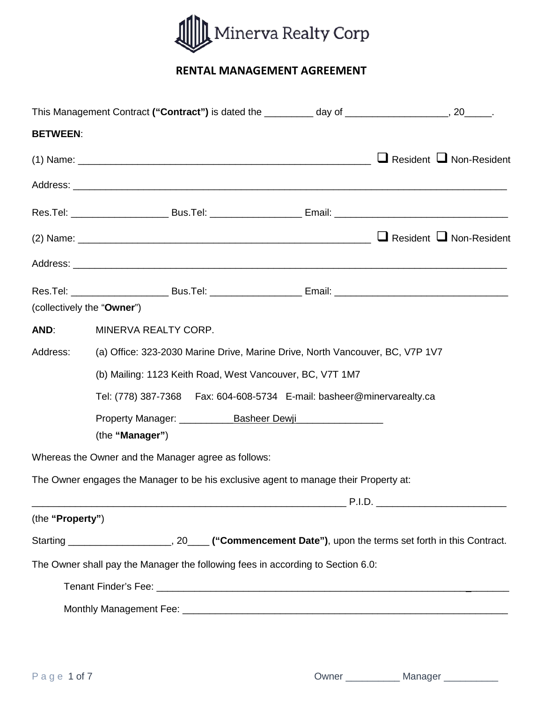

# **RENTAL MANAGEMENT AGREEMENT**

|                            | This Management Contract ("Contract") is dated the _________ day of __________________, 20_____.                                          |  |  |  |  |
|----------------------------|-------------------------------------------------------------------------------------------------------------------------------------------|--|--|--|--|
| <b>BETWEEN:</b>            |                                                                                                                                           |  |  |  |  |
|                            |                                                                                                                                           |  |  |  |  |
|                            |                                                                                                                                           |  |  |  |  |
|                            |                                                                                                                                           |  |  |  |  |
|                            |                                                                                                                                           |  |  |  |  |
|                            |                                                                                                                                           |  |  |  |  |
|                            |                                                                                                                                           |  |  |  |  |
| (collectively the "Owner") |                                                                                                                                           |  |  |  |  |
| AND:                       | MINERVA REALTY CORP.                                                                                                                      |  |  |  |  |
| Address:                   | (a) Office: 323-2030 Marine Drive, Marine Drive, North Vancouver, BC, V7P 1V7                                                             |  |  |  |  |
|                            | (b) Mailing: 1123 Keith Road, West Vancouver, BC, V7T 1M7<br>Tel: (778) 387-7368    Fax: 604-608-5734    E-mail: basheer@minervarealty.ca |  |  |  |  |
|                            |                                                                                                                                           |  |  |  |  |
|                            |                                                                                                                                           |  |  |  |  |
|                            | (the "Manager")                                                                                                                           |  |  |  |  |
|                            | Whereas the Owner and the Manager agree as follows:                                                                                       |  |  |  |  |
|                            | The Owner engages the Manager to be his exclusive agent to manage their Property at:                                                      |  |  |  |  |
|                            |                                                                                                                                           |  |  |  |  |
| (the "Property")           |                                                                                                                                           |  |  |  |  |
|                            | Starting _________________________, 20______("Commencement Date"), upon the terms set forth in this Contract.                             |  |  |  |  |
|                            | The Owner shall pay the Manager the following fees in according to Section 6.0:                                                           |  |  |  |  |
|                            |                                                                                                                                           |  |  |  |  |
|                            |                                                                                                                                           |  |  |  |  |

|  | ⊃wner |  | Manager |  |
|--|-------|--|---------|--|
|--|-------|--|---------|--|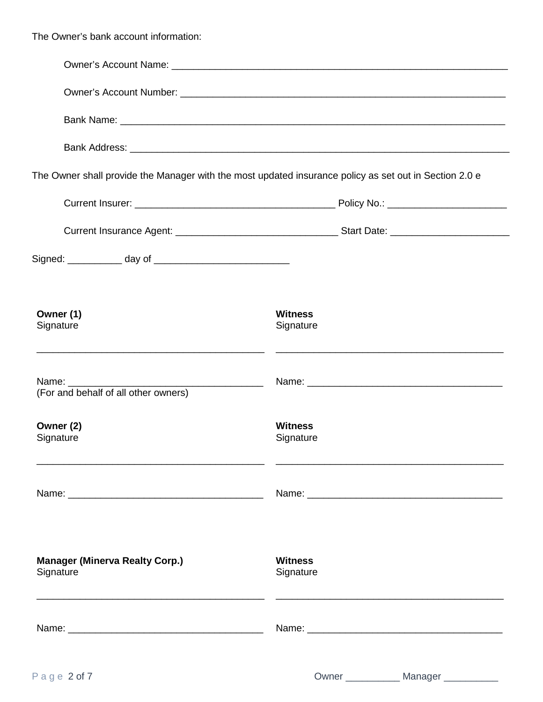The Owner's bank account information:

|                                                                                                                                                 |                                        |  |  |  |  | The Owner shall provide the Manager with the most updated insurance policy as set out in Section 2.0 e |  |  |  |  |
|-------------------------------------------------------------------------------------------------------------------------------------------------|----------------------------------------|--|--|--|--|--------------------------------------------------------------------------------------------------------|--|--|--|--|
|                                                                                                                                                 |                                        |  |  |  |  |                                                                                                        |  |  |  |  |
|                                                                                                                                                 |                                        |  |  |  |  |                                                                                                        |  |  |  |  |
|                                                                                                                                                 |                                        |  |  |  |  |                                                                                                        |  |  |  |  |
| Owner (1)<br>Signature<br><u> 1989 - Johann Harry Harry Harry Harry Harry Harry Harry Harry Harry Harry Harry Harry Harry Harry Harry Harry</u> | <b>Witness</b><br>Signature            |  |  |  |  |                                                                                                        |  |  |  |  |
| Name: _________<br>(For and behalf of all other owners)                                                                                         |                                        |  |  |  |  |                                                                                                        |  |  |  |  |
| Owner (2)<br>Signature                                                                                                                          | <b>Witness</b><br>Signature            |  |  |  |  |                                                                                                        |  |  |  |  |
|                                                                                                                                                 |                                        |  |  |  |  |                                                                                                        |  |  |  |  |
| <b>Manager (Minerva Realty Corp.)</b><br>Signature                                                                                              | <b>Witness</b><br>Signature            |  |  |  |  |                                                                                                        |  |  |  |  |
|                                                                                                                                                 |                                        |  |  |  |  |                                                                                                        |  |  |  |  |
| Page 2 of 7                                                                                                                                     | Owner _____________ Manager __________ |  |  |  |  |                                                                                                        |  |  |  |  |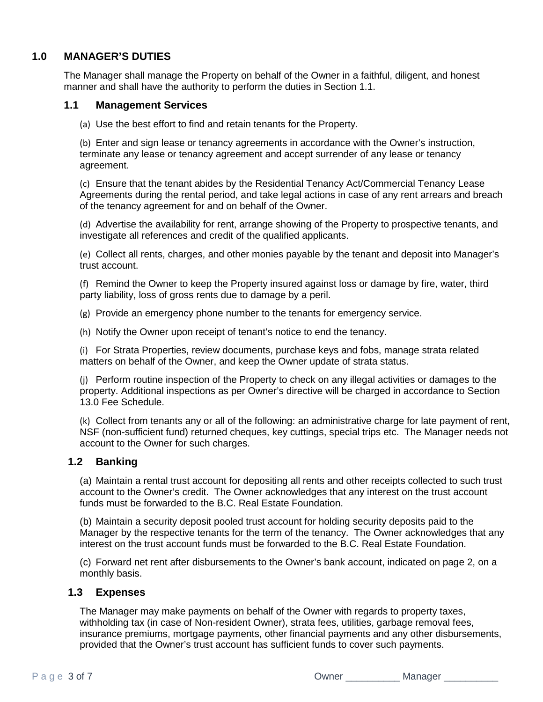## **1.0 MANAGER'S DUTIES**

The Manager shall manage the Property on behalf of the Owner in a faithful, diligent, and honest manner and shall have the authority to perform the duties in Section 1.1.

## **1.1 Management Services**

(a) Use the best effort to find and retain tenants for the Property.

(b) Enter and sign lease or tenancy agreements in accordance with the Owner's instruction, terminate any lease or tenancy agreement and accept surrender of any lease or tenancy agreement.

(c) Ensure that the tenant abides by the Residential Tenancy Act/Commercial Tenancy Lease Agreements during the rental period, and take legal actions in case of any rent arrears and breach of the tenancy agreement for and on behalf of the Owner.

(d) Advertise the availability for rent, arrange showing of the Property to prospective tenants, and investigate all references and credit of the qualified applicants.

(e) Collect all rents, charges, and other monies payable by the tenant and deposit into Manager's trust account.

(f) Remind the Owner to keep the Property insured against loss or damage by fire, water, third party liability, loss of gross rents due to damage by a peril.

(g) Provide an emergency phone number to the tenants for emergency service.

(h) Notify the Owner upon receipt of tenant's notice to end the tenancy.

(i) For Strata Properties, review documents, purchase keys and fobs, manage strata related matters on behalf of the Owner, and keep the Owner update of strata status.

(j) Perform routine inspection of the Property to check on any illegal activities or damages to the property. Additional inspections as per Owner's directive will be charged in accordance to Section 13.0 Fee Schedule.

(k) Collect from tenants any or all of the following: an administrative charge for late payment of rent, NSF (non-sufficient fund) returned cheques, key cuttings, special trips etc. The Manager needs not account to the Owner for such charges.

#### **1.2 Banking**

(a) Maintain a rental trust account for depositing all rents and other receipts collected to such trust account to the Owner's credit. The Owner acknowledges that any interest on the trust account funds must be forwarded to the B.C. Real Estate Foundation.

(b) Maintain a security deposit pooled trust account for holding security deposits paid to the Manager by the respective tenants for the term of the tenancy. The Owner acknowledges that any interest on the trust account funds must be forwarded to the B.C. Real Estate Foundation.

(c) Forward net rent after disbursements to the Owner's bank account, indicated on page 2, on a monthly basis.

#### **1.3 Expenses**

The Manager may make payments on behalf of the Owner with regards to property taxes, withholding tax (in case of Non-resident Owner), strata fees, utilities, garbage removal fees, insurance premiums, mortgage payments, other financial payments and any other disbursements, provided that the Owner's trust account has sufficient funds to cover such payments.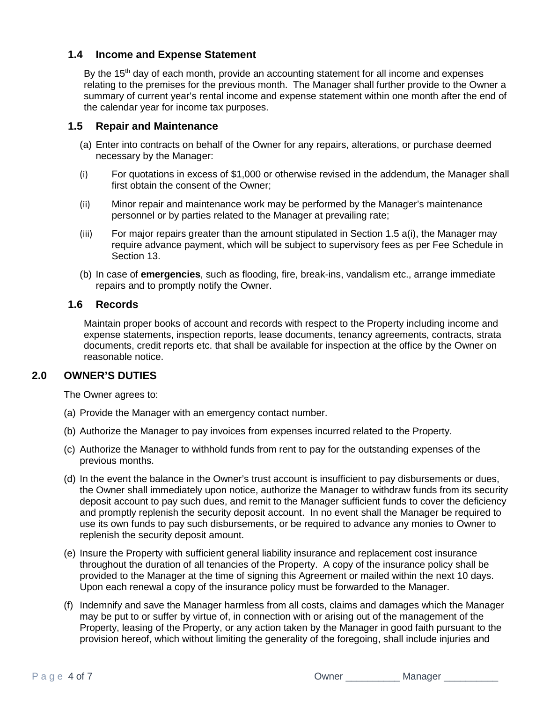## **1.4 Income and Expense Statement**

By the 15<sup>th</sup> day of each month, provide an accounting statement for all income and expenses relating to the premises for the previous month. The Manager shall further provide to the Owner a summary of current year's rental income and expense statement within one month after the end of the calendar year for income tax purposes.

#### **1.5 Repair and Maintenance**

- (a) Enter into contracts on behalf of the Owner for any repairs, alterations, or purchase deemed necessary by the Manager:
- (i) For quotations in excess of \$1,000 or otherwise revised in the addendum, the Manager shall first obtain the consent of the Owner;
- (ii) Minor repair and maintenance work may be performed by the Manager's maintenance personnel or by parties related to the Manager at prevailing rate;
- (iii) For major repairs greater than the amount stipulated in Section 1.5 a(i), the Manager may require advance payment, which will be subject to supervisory fees as per Fee Schedule in Section 13.
- (b) In case of **emergencies**, such as flooding, fire, break-ins, vandalism etc., arrange immediate repairs and to promptly notify the Owner.

#### **1.6 Records**

Maintain proper books of account and records with respect to the Property including income and expense statements, inspection reports, lease documents, tenancy agreements, contracts, strata documents, credit reports etc. that shall be available for inspection at the office by the Owner on reasonable notice.

#### **2.0 OWNER'S DUTIES**

The Owner agrees to:

- (a) Provide the Manager with an emergency contact number.
- (b) Authorize the Manager to pay invoices from expenses incurred related to the Property.
- (c) Authorize the Manager to withhold funds from rent to pay for the outstanding expenses of the previous months.
- (d) In the event the balance in the Owner's trust account is insufficient to pay disbursements or dues, the Owner shall immediately upon notice, authorize the Manager to withdraw funds from its security deposit account to pay such dues, and remit to the Manager sufficient funds to cover the deficiency and promptly replenish the security deposit account. In no event shall the Manager be required to use its own funds to pay such disbursements, or be required to advance any monies to Owner to replenish the security deposit amount.
- (e) Insure the Property with sufficient general liability insurance and replacement cost insurance throughout the duration of all tenancies of the Property. A copy of the insurance policy shall be provided to the Manager at the time of signing this Agreement or mailed within the next 10 days. Upon each renewal a copy of the insurance policy must be forwarded to the Manager.
- (f) Indemnify and save the Manager harmless from all costs, claims and damages which the Manager may be put to or suffer by virtue of, in connection with or arising out of the management of the Property, leasing of the Property, or any action taken by the Manager in good faith pursuant to the provision hereof, which without limiting the generality of the foregoing, shall include injuries and

Page 4 of 7 **Decima 2 of 2 Contract 2 Contract 2 Contract 2 Contract 2 Contract 2 Contract 2 Contract 2 Contract 2**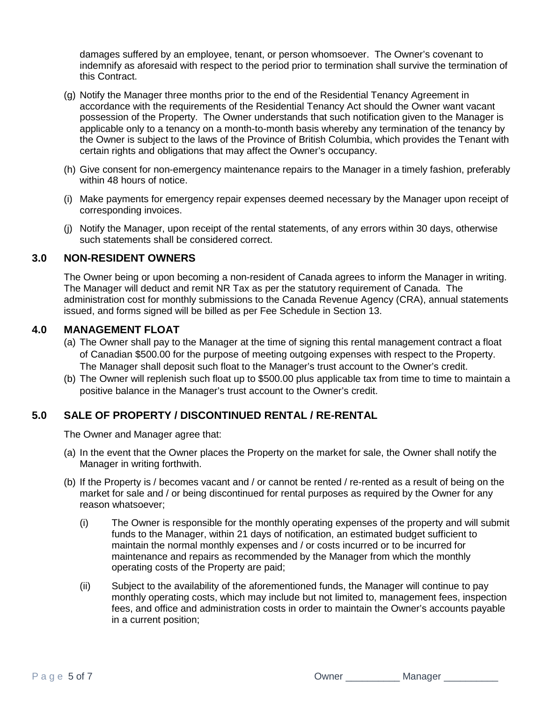damages suffered by an employee, tenant, or person whomsoever. The Owner's covenant to indemnify as aforesaid with respect to the period prior to termination shall survive the termination of this Contract.

- (g) Notify the Manager three months prior to the end of the Residential Tenancy Agreement in accordance with the requirements of the Residential Tenancy Act should the Owner want vacant possession of the Property. The Owner understands that such notification given to the Manager is applicable only to a tenancy on a month-to-month basis whereby any termination of the tenancy by the Owner is subject to the laws of the Province of British Columbia, which provides the Tenant with certain rights and obligations that may affect the Owner's occupancy.
- (h) Give consent for non-emergency maintenance repairs to the Manager in a timely fashion, preferably within 48 hours of notice.
- (i) Make payments for emergency repair expenses deemed necessary by the Manager upon receipt of corresponding invoices.
- (j) Notify the Manager, upon receipt of the rental statements, of any errors within 30 days, otherwise such statements shall be considered correct.

## **3.0 NON-RESIDENT OWNERS**

The Owner being or upon becoming a non-resident of Canada agrees to inform the Manager in writing. The Manager will deduct and remit NR Tax as per the statutory requirement of Canada. The administration cost for monthly submissions to the Canada Revenue Agency (CRA), annual statements issued, and forms signed will be billed as per Fee Schedule in Section 13.

## **4.0 MANAGEMENT FLOAT**

- (a) The Owner shall pay to the Manager at the time of signing this rental management contract a float of Canadian \$500.00 for the purpose of meeting outgoing expenses with respect to the Property. The Manager shall deposit such float to the Manager's trust account to the Owner's credit.
- (b) The Owner will replenish such float up to \$500.00 plus applicable tax from time to time to maintain a positive balance in the Manager's trust account to the Owner's credit.

## **5.0 SALE OF PROPERTY / DISCONTINUED RENTAL / RE-RENTAL**

The Owner and Manager agree that:

- (a) In the event that the Owner places the Property on the market for sale, the Owner shall notify the Manager in writing forthwith.
- (b) If the Property is / becomes vacant and / or cannot be rented / re-rented as a result of being on the market for sale and / or being discontinued for rental purposes as required by the Owner for any reason whatsoever;
	- (i) The Owner is responsible for the monthly operating expenses of the property and will submit funds to the Manager, within 21 days of notification, an estimated budget sufficient to maintain the normal monthly expenses and / or costs incurred or to be incurred for maintenance and repairs as recommended by the Manager from which the monthly operating costs of the Property are paid;
	- (ii) Subject to the availability of the aforementioned funds, the Manager will continue to pay monthly operating costs, which may include but not limited to, management fees, inspection fees, and office and administration costs in order to maintain the Owner's accounts payable in a current position;

Page 5 of 7 **Decima 2 of 2 Contract 2 Owner \_\_\_\_\_\_\_\_\_\_\_\_ Manager \_\_\_\_\_\_\_\_\_**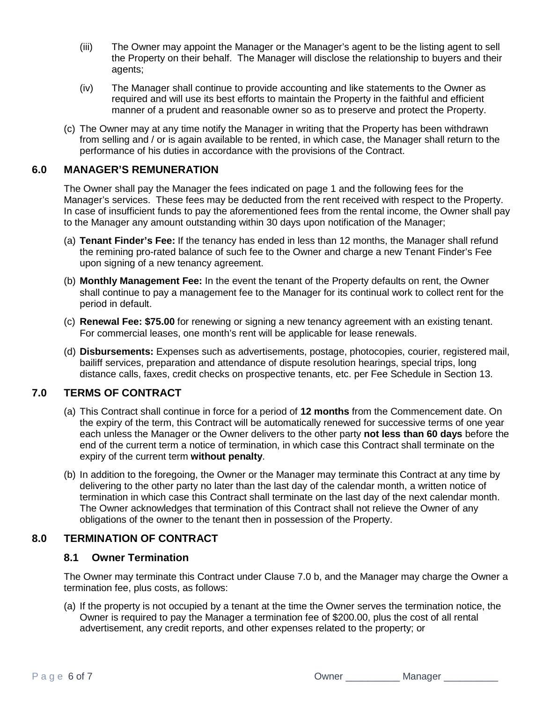- (iii) The Owner may appoint the Manager or the Manager's agent to be the listing agent to sell the Property on their behalf. The Manager will disclose the relationship to buyers and their agents;
- (iv) The Manager shall continue to provide accounting and like statements to the Owner as required and will use its best efforts to maintain the Property in the faithful and efficient manner of a prudent and reasonable owner so as to preserve and protect the Property.
- (c) The Owner may at any time notify the Manager in writing that the Property has been withdrawn from selling and / or is again available to be rented, in which case, the Manager shall return to the performance of his duties in accordance with the provisions of the Contract.

## **6.0 MANAGER'S REMUNERATION**

The Owner shall pay the Manager the fees indicated on page 1 and the following fees for the Manager's services. These fees may be deducted from the rent received with respect to the Property. In case of insufficient funds to pay the aforementioned fees from the rental income, the Owner shall pay to the Manager any amount outstanding within 30 days upon notification of the Manager;

- (a) **Tenant Finder's Fee:** If the tenancy has ended in less than 12 months, the Manager shall refund the remining pro-rated balance of such fee to the Owner and charge a new Tenant Finder's Fee upon signing of a new tenancy agreement.
- (b) **Monthly Management Fee:** In the event the tenant of the Property defaults on rent, the Owner shall continue to pay a management fee to the Manager for its continual work to collect rent for the period in default.
- (c) **Renewal Fee: \$75.00** for renewing or signing a new tenancy agreement with an existing tenant. For commercial leases, one month's rent will be applicable for lease renewals.
- (d) **Disbursements:** Expenses such as advertisements, postage, photocopies, courier, registered mail, bailiff services, preparation and attendance of dispute resolution hearings, special trips, long distance calls, faxes, credit checks on prospective tenants, etc. per Fee Schedule in Section 13.

## **7.0 TERMS OF CONTRACT**

- (a) This Contract shall continue in force for a period of **12 months** from the Commencement date. On the expiry of the term, this Contract will be automatically renewed for successive terms of one year each unless the Manager or the Owner delivers to the other party **not less than 60 days** before the end of the current term a notice of termination, in which case this Contract shall terminate on the expiry of the current term **without penalty**.
- (b) In addition to the foregoing, the Owner or the Manager may terminate this Contract at any time by delivering to the other party no later than the last day of the calendar month, a written notice of termination in which case this Contract shall terminate on the last day of the next calendar month. The Owner acknowledges that termination of this Contract shall not relieve the Owner of any obligations of the owner to the tenant then in possession of the Property.

# **8.0 TERMINATION OF CONTRACT**

## **8.1 Owner Termination**

The Owner may terminate this Contract under Clause 7.0 b, and the Manager may charge the Owner a termination fee, plus costs, as follows:

(a) If the property is not occupied by a tenant at the time the Owner serves the termination notice, the Owner is required to pay the Manager a termination fee of \$200.00, plus the cost of all rental advertisement, any credit reports, and other expenses related to the property; or